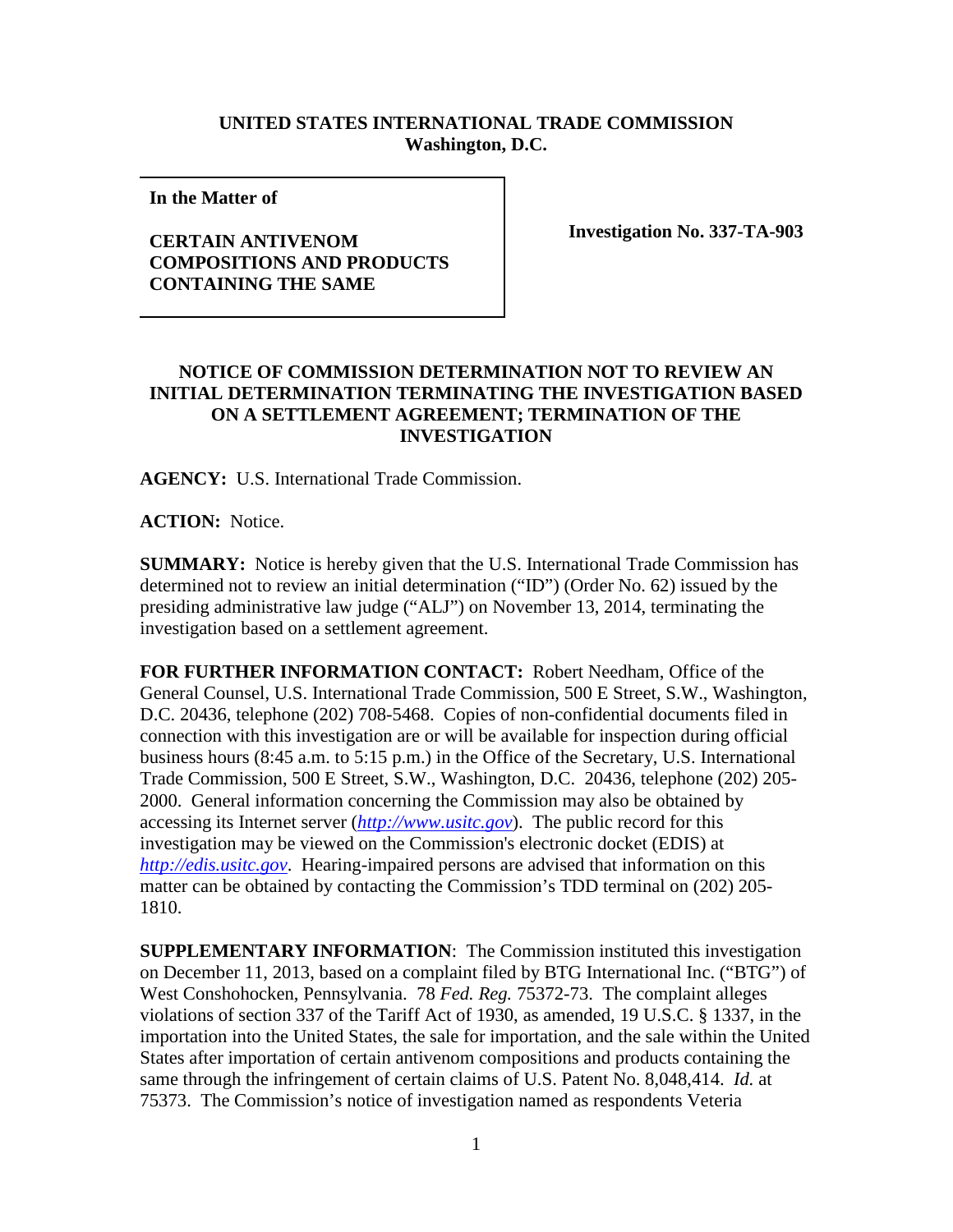## **UNITED STATES INTERNATIONAL TRADE COMMISSION Washington, D.C.**

**In the Matter of** 

## **CERTAIN ANTIVENOM COMPOSITIONS AND PRODUCTS CONTAINING THE SAME**

**Investigation No. 337-TA-903**

## **NOTICE OF COMMISSION DETERMINATION NOT TO REVIEW AN INITIAL DETERMINATION TERMINATING THE INVESTIGATION BASED ON A SETTLEMENT AGREEMENT; TERMINATION OF THE INVESTIGATION**

**AGENCY:** U.S. International Trade Commission.

**ACTION:** Notice.

**SUMMARY:** Notice is hereby given that the U.S. International Trade Commission has determined not to review an initial determination ("ID") (Order No. 62) issued by the presiding administrative law judge ("ALJ") on November 13, 2014, terminating the investigation based on a settlement agreement.

**FOR FURTHER INFORMATION CONTACT:** Robert Needham, Office of the General Counsel, U.S. International Trade Commission, 500 E Street, S.W., Washington, D.C. 20436, telephone (202) 708-5468. Copies of non-confidential documents filed in connection with this investigation are or will be available for inspection during official business hours (8:45 a.m. to 5:15 p.m.) in the Office of the Secretary, U.S. International Trade Commission, 500 E Street, S.W., Washington, D.C. 20436, telephone (202) 205- 2000. General information concerning the Commission may also be obtained by accessing its Internet server (*[http://www.usitc.gov](http://www.usitc.gov/)*). The public record for this investigation may be viewed on the Commission's electronic docket (EDIS) at *[http://edis.usitc.gov](http://edis.usitc.gov/)*. Hearing-impaired persons are advised that information on this matter can be obtained by contacting the Commission's TDD terminal on (202) 205- 1810.

**SUPPLEMENTARY INFORMATION**: The Commission instituted this investigation on December 11, 2013, based on a complaint filed by BTG International Inc. ("BTG") of West Conshohocken, Pennsylvania. 78 *Fed. Reg.* 75372-73. The complaint alleges violations of section 337 of the Tariff Act of 1930, as amended, 19 U.S.C. § 1337, in the importation into the United States, the sale for importation, and the sale within the United States after importation of certain antivenom compositions and products containing the same through the infringement of certain claims of U.S. Patent No. 8,048,414. *Id.* at 75373. The Commission's notice of investigation named as respondents Veteria